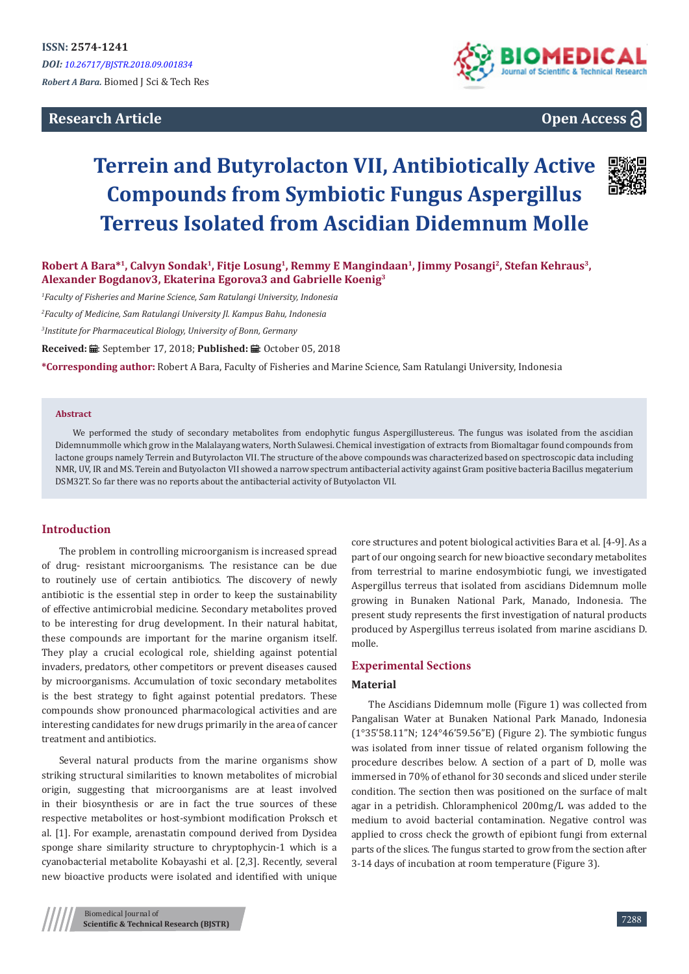# **Research Article**



# **Open Access**

# **Terrein and Butyrolacton VII, Antibiotically Active Compounds from Symbiotic Fungus Aspergillus Terreus Isolated from Ascidian Didemnum Molle**



**Robert A Bara\*<sup>1</sup>, Calvyn Sondak<sup>1</sup>, Fitje Losung<sup>1</sup>, Remmy E Mangindaan<sup>1</sup>, Jimmy Posangi<sup>2</sup>, Stefan Kehraus<sup>3</sup>, Alexander Bogdanov3, Ekaterina Egorova3 and Gabrielle Koenig<sup>3</sup>**

*1 Faculty of Fisheries and Marine Science, Sam Ratulangi University, Indonesia*

*2 Faculty of Medicine, Sam Ratulangi University Jl. Kampus Bahu, Indonesia*

*3 Institute for Pharmaceutical Biology, University of Bonn, Germany*

Received: *a* : September 17, 2018; Published: a : October 05, 2018

**\*Corresponding author:** Robert A Bara, Faculty of Fisheries and Marine Science, Sam Ratulangi University, Indonesia

#### **Abstract**

We performed the study of secondary metabolites from endophytic fungus Aspergillustereus. The fungus was isolated from the ascidian Didemnummolle which grow in the Malalayang waters, North Sulawesi. Chemical investigation of extracts from Biomaltagar found compounds from lactone groups namely Terrein and Butyrolacton VII. The structure of the above compounds was characterized based on spectroscopic data including NMR, UV, IR and MS. Terein and Butyolacton VII showed a narrow spectrum antibacterial activity against Gram positive bacteria Bacillus megaterium DSM32T. So far there was no reports about the antibacterial activity of Butyolacton VII.

#### **Introduction**

The problem in controlling microorganism is increased spread of drug- resistant microorganisms. The resistance can be due to routinely use of certain antibiotics. The discovery of newly antibiotic is the essential step in order to keep the sustainability of effective antimicrobial medicine. Secondary metabolites proved to be interesting for drug development. In their natural habitat, these compounds are important for the marine organism itself. They play a crucial ecological role, shielding against potential invaders, predators, other competitors or prevent diseases caused by microorganisms. Accumulation of toxic secondary metabolites is the best strategy to fight against potential predators. These compounds show pronounced pharmacological activities and are interesting candidates for new drugs primarily in the area of cancer treatment and antibiotics.

Several natural products from the marine organisms show striking structural similarities to known metabolites of microbial origin, suggesting that microorganisms are at least involved in their biosynthesis or are in fact the true sources of these respective metabolites or host-symbiont modification Proksch et al. [1]. For example, arenastatin compound derived from Dysidea sponge share similarity structure to chryptophycin-1 which is a cyanobacterial metabolite Kobayashi et al. [2,3]. Recently, several new bioactive products were isolated and identified with unique

core structures and potent biological activities Bara et al. [4-9]. As a part of our ongoing search for new bioactive secondary metabolites from terrestrial to marine endosymbiotic fungi, we investigated Aspergillus terreus that isolated from ascidians Didemnum molle growing in Bunaken National Park, Manado, Indonesia. The present study represents the first investigation of natural products produced by Aspergillus terreus isolated from marine ascidians D. molle.

#### **Experimental Sections**

#### **Material**

The Ascidians Didemnum molle (Figure 1) was collected from Pangalisan Water at Bunaken National Park Manado, Indonesia (1°35'58.11"N; 124°46'59.56"E) (Figure 2). The symbiotic fungus was isolated from inner tissue of related organism following the procedure describes below. A section of a part of D, molle was immersed in 70% of ethanol for 30 seconds and sliced under sterile condition. The section then was positioned on the surface of malt agar in a petridish. Chloramphenicol 200mg/L was added to the medium to avoid bacterial contamination. Negative control was applied to cross check the growth of epibiont fungi from external parts of the slices. The fungus started to grow from the section after 3-14 days of incubation at room temperature (Figure 3).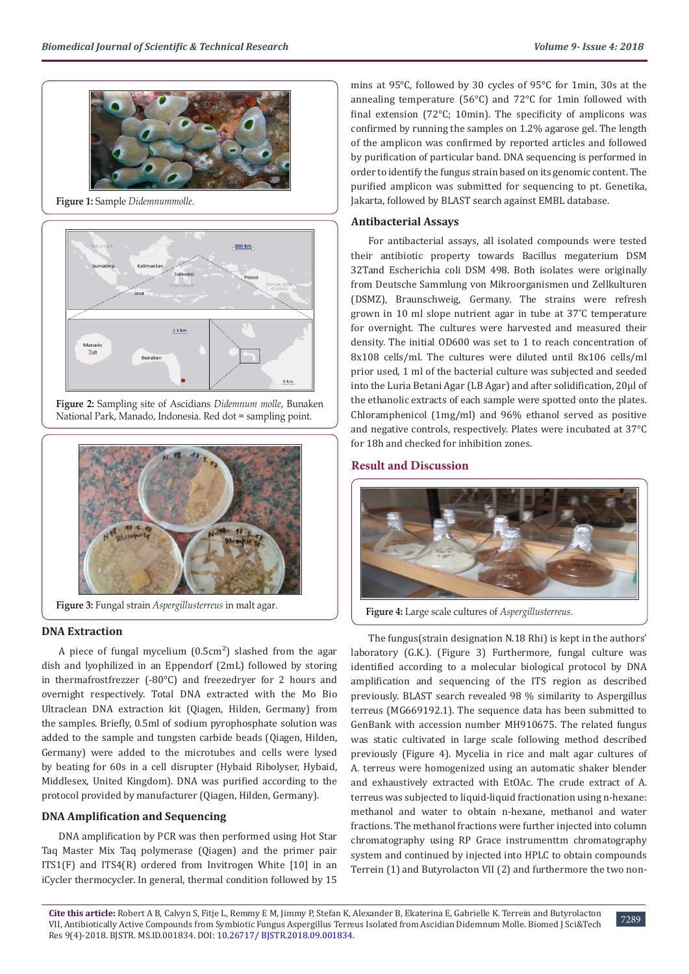

**Figure 1:** Sample *Didemnummolle*.



**Figure 2:** Sampling site of Ascidians *Didemnum molle*, Bunaken National Park, Manado, Indonesia. Red dot = sampling point.



**Figure 3:** Fungal strain *Aspergillusterreus* in malt agar.

## **DNA Extraction**

A piece of fungal mycelium  $(0.5cm<sup>2</sup>)$  slashed from the agar dish and lyophilized in an Eppendorf (2mL) followed by storing in thermafrostfrezzer (-80°C) and freezedryer for 2 hours and overnight respectively. Total DNA extracted with the Mo Bio Ultraclean DNA extraction kit (Qiagen, Hilden, Germany) from the samples. Briefly, 0.5ml of sodium pyrophosphate solution was added to the sample and tungsten carbide beads (Qiagen, Hilden, Germany) were added to the microtubes and cells were lysed by beating for 60s in a cell disrupter (Hybaid Ribolyser, Hybaid, Middlesex, United Kingdom). DNA was purified according to the protocol provided by manufacturer (Qiagen, Hilden, Germany).

## **DNA Amplification and Sequencing**

DNA amplification by PCR was then performed using Hot Star Taq Master Mix Taq polymerase (Qiagen) and the primer pair ITS1(F) and ITS4(R) ordered from Invitrogen White [10] in an iCycler thermocycler. In general, thermal condition followed by 15

mins at 95°C, followed by 30 cycles of 95°C for 1min, 30s at the annealing temperature (56°C) and 72°C for 1min followed with final extension (72°C; 10min). The specificity of amplicons was confirmed by running the samples on 1.2% agarose gel. The length of the amplicon was confirmed by reported articles and followed by purification of particular band. DNA sequencing is performed in order to identify the fungus strain based on its genomic content. The purified amplicon was submitted for sequencing to pt. Genetika, Jakarta, followed by BLAST search against EMBL database.

## **Antibacterial Assays**

For antibacterial assays, all isolated compounds were tested their antibiotic property towards Bacillus megaterium DSM 32Tand Escherichia coli DSM 498. Both isolates were originally from Deutsche Sammlung von Mikroorganismen und Zellkulturen (DSMZ), Braunschweig, Germany. The strains were refresh grown in 10 ml slope nutrient agar in tube at 37˚C temperature for overnight. The cultures were harvested and measured their density. The initial OD600 was set to 1 to reach concentration of 8x108 cells/ml. The cultures were diluted until 8x106 cells/ml prior used, 1 ml of the bacterial culture was subjected and seeded into the Luria Betani Agar (LB Agar) and after solidification, 20μl of the ethanolic extracts of each sample were spotted onto the plates. Chloramphenicol (1mg/ml) and 96% ethanol served as positive and negative controls, respectively. Plates were incubated at 37°C for 18h and checked for inhibition zones.

#### **Result and Discussion**



**Figure 4:** Large scale cultures of *Aspergillusterreus*.

The fungus(strain designation N.18 Rhi) is kept in the authors' laboratory (G.K.). (Figure 3) Furthermore, fungal culture was identified according to a molecular biological protocol by DNA amplification and sequencing of the ITS region as described previously. BLAST search revealed 98 % similarity to Aspergillus terreus (MG669192.1). The sequence data has been submitted to GenBank with accession number MH910675. The related fungus was static cultivated in large scale following method described previously (Figure 4). Mycelia in rice and malt agar cultures of A. terreus were homogenized using an automatic shaker blender and exhaustively extracted with EtOAc. The crude extract of A. terreus was subjected to liquid-liquid fractionation using n-hexane: methanol and water to obtain n-hexane, methanol and water fractions. The methanol fractions were further injected into column chromatography using RP Grace instrumenttm chromatography system and continued by injected into HPLC to obtain compounds Terrein (1) and Butyrolacton VII (2) and furthermore the two non-

7289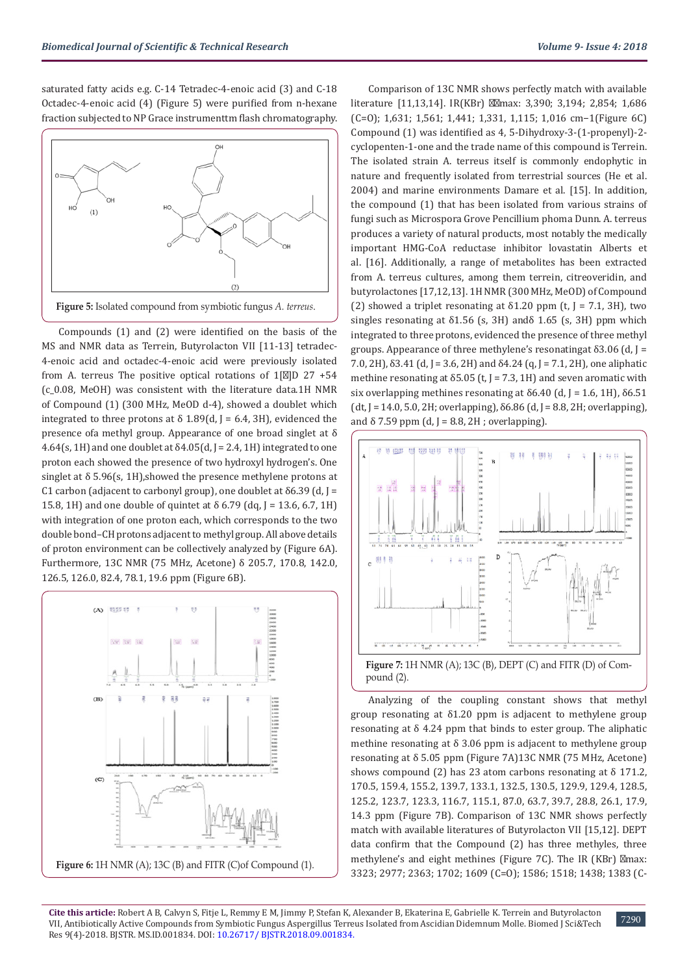saturated fatty acids e.g. C-14 Tetradec-4-enoic acid (3) and C-18 Octadec-4-enoic acid (4) (Figure 5) were purified from n-hexane fraction subjected to NP Grace instrumenttm flash chromatography.



Compounds (1) and (2) were identified on the basis of the MS and NMR data as Terrein, Butyrolacton VII [11-13] tetradec-4-enoic acid and octadec-4-enoic acid were previously isolated from A. terreus The positive optical rotations of 1[ ]D 27 +54 (c\_0.08, MeOH) was consistent with the literature data.1H NMR of Compound (1) (300 MHz, MeOD d-4), showed a doublet which integrated to three protons at  $\delta$  1.89(d, J = 6.4, 3H), evidenced the presence ofa methyl group. Appearance of one broad singlet at δ 4.64(s, 1H) and one doublet at  $\delta$ 4.05(d, J = 2.4, 1H) integrated to one proton each showed the presence of two hydroxyl hydrogen's. One singlet at  $\delta$  5.96(s, 1H), showed the presence methylene protons at C1 carbon (adjacent to carbonyl group), one doublet at  $\delta$ 6.39 (d, J = 15.8, 1H) and one double of quintet at δ 6.79 (dq, J = 13.6, 6.7, 1H) with integration of one proton each, which corresponds to the two double bond–CH protons adjacent to methyl group. All above details of proton environment can be collectively analyzed by (Figure 6A). Furthermore, 13C NMR (75 MHz, Acetone) δ 205.7, 170.8, 142.0, 126.5, 126.0, 82.4, 78.1, 19.6 ppm (Figure 6B).



Comparison of 13C NMR shows perfectly match with available literature [11,13,14]. IR(KBr) max: 3,390; 3,194; 2,854; 1,686 (C=O); 1,631; 1,561; 1,441; 1,331, 1,115; 1,016 cm−1(Figure 6C) Compound (1) was identified as 4, 5-Dihydroxy-3-(1-propenyl)-2 cyclopenten-1-one and the trade name of this compound is Terrein. The isolated strain A. terreus itself is commonly endophytic in nature and frequently isolated from terrestrial sources (He et al. 2004) and marine environments Damare et al. [15]. In addition, the compound (1) that has been isolated from various strains of fungi such as Microspora Grove Pencillium phoma Dunn. A. terreus produces a variety of natural products, most notably the medically important HMG-CoA reductase inhibitor lovastatin Alberts et al. [16]. Additionally, a range of metabolites has been extracted from A. terreus cultures, among them terrein, citreoveridin, and butyrolactones [17,12,13]. 1H NMR (300 MHz, MeOD) of Compound (2) showed a triplet resonating at  $\delta$ 1.20 ppm (t, J = 7.1, 3H), two singles resonating at  $\delta$ 1.56 (s, 3H) and $\delta$  1.65 (s, 3H) ppm which integrated to three protons, evidenced the presence of three methyl groups. Appearance of three methylene's resonatingat  $\delta$ 3.06 (d, J = 7.0, 2H),  $\delta$ 3.41 (d, J = 3.6, 2H) and  $\delta$ 4.24 (q, J = 7.1, 2H), one aliphatic methine resonating at  $\delta$ 5.05 (t, J = 7.3, 1H) and seven aromatic with six overlapping methines resonating at  $\delta$ 6.40 (d, J = 1.6, 1H),  $\delta$ 6.51 (dt, J = 14.0, 5.0, 2H; overlapping), δ6.86 (d, J = 8.8, 2H; overlapping), and  $\delta$  7.59 ppm (d, J = 8.8, 2H; overlapping).



pound (2).

Analyzing of the coupling constant shows that methyl group resonating at δ1.20 ppm is adjacent to methylene group resonating at δ 4.24 ppm that binds to ester group. The aliphatic methine resonating at δ 3.06 ppm is adjacent to methylene group resonating at δ 5.05 ppm (Figure 7A)13C NMR (75 MHz, Acetone) shows compound (2) has 23 atom carbons resonating at  $\delta$  171.2, 170.5, 159.4, 155.2, 139.7, 133.1, 132.5, 130.5, 129.9, 129.4, 128.5, 125.2, 123.7, 123.3, 116.7, 115.1, 87.0, 63.7, 39.7, 28.8, 26.1, 17.9, 14.3 ppm (Figure 7B). Comparison of 13C NMR shows perfectly match with available literatures of Butyrolacton VII [15,12]. DEPT data confirm that the Compound (2) has three methyles, three methylene's and eight methines (Figure 7C). The IR (KBr) max: 3323; 2977; 2363; 1702; 1609 (C=O); 1586; 1518; 1438; 1383 (C-

7290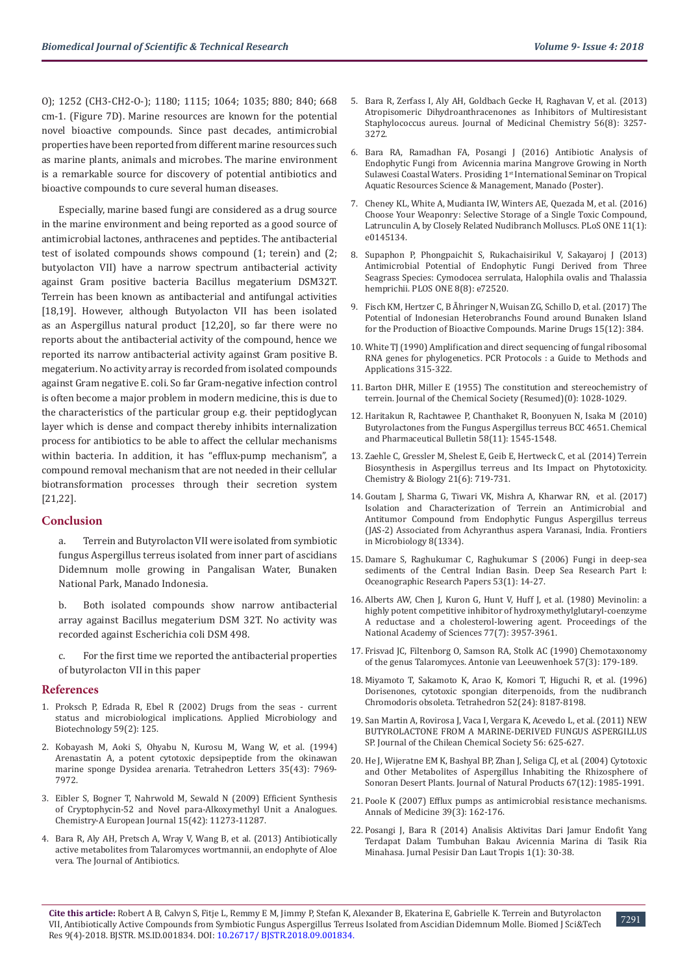O); 1252 (CH3-CH2-O-); 1180; 1115; 1064; 1035; 880; 840; 668 cm-1. (Figure 7D). Marine resources are known for the potential novel bioactive compounds. Since past decades, antimicrobial properties have been reported from different marine resources such as marine plants, animals and microbes. The marine environment is a remarkable source for discovery of potential antibiotics and bioactive compounds to cure several human diseases.

Especially, marine based fungi are considered as a drug source in the marine environment and being reported as a good source of antimicrobial lactones, anthracenes and peptides. The antibacterial test of isolated compounds shows compound (1; terein) and (2; butyolacton VII) have a narrow spectrum antibacterial activity against Gram positive bacteria Bacillus megaterium DSM32T. Terrein has been known as antibacterial and antifungal activities [18,19]. However, although Butyolacton VII has been isolated as an Aspergillus natural product [12,20], so far there were no reports about the antibacterial activity of the compound, hence we reported its narrow antibacterial activity against Gram positive B. megaterium. No activity array is recorded from isolated compounds against Gram negative E. coli. So far Gram-negative infection control is often become a major problem in modern medicine, this is due to the characteristics of the particular group e.g. their peptidoglycan layer which is dense and compact thereby inhibits internalization process for antibiotics to be able to affect the cellular mechanisms within bacteria. In addition, it has "efflux-pump mechanism", a compound removal mechanism that are not needed in their cellular biotransformation processes through their secretion system [21,22].

#### **Conclusion**

a. Terrein and Butyrolacton VII were isolated from symbiotic fungus Aspergillus terreus isolated from inner part of ascidians Didemnum molle growing in Pangalisan Water, Bunaken National Park, Manado Indonesia.

b. Both isolated compounds show narrow antibacterial array against Bacillus megaterium DSM 32T. No activity was recorded against Escherichia coli DSM 498.

c. For the first time we reported the antibacterial properties of butyrolacton VII in this paper

#### **References**

- 1. [Proksch P, Edrada R, Ebel R \(2002\) Drugs from the seas current](https://www.ncbi.nlm.nih.gov/pubmed/12111137)  [status and microbiological implications. Applied Microbiology and](https://www.ncbi.nlm.nih.gov/pubmed/12111137)  [Biotechnology 59\(2\): 125.](https://www.ncbi.nlm.nih.gov/pubmed/12111137)
- 2. [Kobayash M, Aoki S, Ohyabu N, Kurosu M, Wang W, et al. \(1994\)](https://uthsc.pure.elsevier.com/en/publications/arenastatin-a-a-potent-cytotoxic-depsipeptide-from-the-okinawan-m)  [Arenastatin A, a potent cytotoxic depsipeptide from the okinawan](https://uthsc.pure.elsevier.com/en/publications/arenastatin-a-a-potent-cytotoxic-depsipeptide-from-the-okinawan-m)  [marine sponge Dysidea arenaria. Tetrahedron Letters 35\(43\): 7969-](https://uthsc.pure.elsevier.com/en/publications/arenastatin-a-a-potent-cytotoxic-depsipeptide-from-the-okinawan-m) [7972.](https://uthsc.pure.elsevier.com/en/publications/arenastatin-a-a-potent-cytotoxic-depsipeptide-from-the-okinawan-m)
- 3. [Eibler S, Bogner T, Nahrwold M, Sewald N \(2009\) Efficient Synthesis](https://www.ncbi.nlm.nih.gov/pubmed/19760734)  [of Cryptophycin-52 and Novel para-Alkoxymethyl Unit a Analogues.](https://www.ncbi.nlm.nih.gov/pubmed/19760734)  [Chemistry-A European Journal 15\(42\): 11273-11287.](https://www.ncbi.nlm.nih.gov/pubmed/19760734)
- 4. [Bara R, Aly AH, Pretsch A, Wray V, Wang B, et al. \(2013\) Antibiotically](https://www.ncbi.nlm.nih.gov/pubmed/23677029)  [active metabolites from Talaromyces wortmannii, an endophyte of Aloe](https://www.ncbi.nlm.nih.gov/pubmed/23677029)  [vera. The Journal of Antibiotics.](https://www.ncbi.nlm.nih.gov/pubmed/23677029)
- 5. [Bara R, Zerfass I, Aly AH, Goldbach Gecke H, Raghavan V, et al. \(2013\)](https://www.ncbi.nlm.nih.gov/pubmed/23534483) [Atropisomeric Dihydroanthracenones as Inhibitors of Multiresistant](https://www.ncbi.nlm.nih.gov/pubmed/23534483) [Staphylococcus aureus. Journal of Medicinal Chemistry 56\(8\): 3257-](https://www.ncbi.nlm.nih.gov/pubmed/23534483) [3272.](https://www.ncbi.nlm.nih.gov/pubmed/23534483)
- 6. [Bara RA, Ramadhan FA, Posangi J \(2016\) Antibiotic Analysis of](https://www.researchgate.net/publication/314114893_Antibiotic_Analysis_of_Endophytic_Fungi_from_Mangrove_Avicennia_marina_Growing_in_North_Sulawesi_Coastal_Waters) [Endophytic Fungi from Avicennia marina Mangrove Growing in North](https://www.researchgate.net/publication/314114893_Antibiotic_Analysis_of_Endophytic_Fungi_from_Mangrove_Avicennia_marina_Growing_in_North_Sulawesi_Coastal_Waters) Sulawesi Coastal Waters. Prosiding 1<sup>st</sup> International Seminar on Tropical [Aquatic Resources Science & Management, Manado \(Poster\).](https://www.researchgate.net/publication/314114893_Antibiotic_Analysis_of_Endophytic_Fungi_from_Mangrove_Avicennia_marina_Growing_in_North_Sulawesi_Coastal_Waters)
- 7. [Cheney KL, White A, Mudianta IW, Winters AE, Quezada M, et al. \(2016\)](https://journals.plos.org/plosone/article?id=10.1371/journal.pone.0145134) [Choose Your Weaponry: Selective Storage of a Single Toxic Compound,](https://journals.plos.org/plosone/article?id=10.1371/journal.pone.0145134) [Latrunculin A, by Closely Related Nudibranch Molluscs. PLoS ONE 11\(1\):](https://journals.plos.org/plosone/article?id=10.1371/journal.pone.0145134) [e0145134.](https://journals.plos.org/plosone/article?id=10.1371/journal.pone.0145134)
- 8. [Supaphon P, Phongpaichit S, Rukachaisirikul V, Sakayaroj J \(2013\)](https://journals.plos.org/plosone/article?id=10.1371/journal.pone.0072520) [Antimicrobial Potential of Endophytic Fungi Derived from Three](https://journals.plos.org/plosone/article?id=10.1371/journal.pone.0072520) [Seagrass Species: Cymodocea serrulata, Halophila ovalis and Thalassia](https://journals.plos.org/plosone/article?id=10.1371/journal.pone.0072520) [hemprichii. PLOS ONE 8\(8\): e72520.](https://journals.plos.org/plosone/article?id=10.1371/journal.pone.0072520)
- 9. [Fisch KM, Hertzer C, B Ãhringer N, Wuisan ZG, Schillo D, et al. \(2017\) The](https://www.ncbi.nlm.nih.gov/pubmed/29215579) [Potential of Indonesian Heterobranchs Found around Bunaken Island](https://www.ncbi.nlm.nih.gov/pubmed/29215579) [for the Production of Bioactive Compounds. Marine Drugs 15\(12\): 384.](https://www.ncbi.nlm.nih.gov/pubmed/29215579)
- 10. [White TJ \(1990\) Amplification and direct sequencing of fungal ribosomal](https://nature.berkeley.edu/brunslab/papers/white1990.pdf) [RNA genes for phylogenetics. PCR Protocols : a Guide to Methods and](https://nature.berkeley.edu/brunslab/papers/white1990.pdf) [Applications 315-322.](https://nature.berkeley.edu/brunslab/papers/white1990.pdf)
- 11. Barton DHR, Miller E (1955) The constitution and stereochemistry of terrein. Journal of the Chemical Society (Resumed)(0): 1028-1029.
- 12. [Haritakun R, Rachtawee P, Chanthaket R, Boonyuen N, Isaka M \(2010\)](https://www.ncbi.nlm.nih.gov/pubmed/21048353) [Butyrolactones from the Fungus Aspergillus terreus BCC 4651. Chemical](https://www.ncbi.nlm.nih.gov/pubmed/21048353) [and Pharmaceutical Bulletin 58\(11\): 1545-1548.](https://www.ncbi.nlm.nih.gov/pubmed/21048353)
- 13. [Zaehle C, Gressler M, Shelest E, Geib E, Hertweck C, et al. \(2014\) Terrein](https://www.ncbi.nlm.nih.gov/pubmed/24816227) [Biosynthesis in Aspergillus terreus and Its Impact on Phytotoxicity.](https://www.ncbi.nlm.nih.gov/pubmed/24816227) [Chemistry & Biology 21\(6\): 719-731.](https://www.ncbi.nlm.nih.gov/pubmed/24816227)
- 14. [Goutam J, Sharma G, Tiwari VK, Mishra A, Kharwar RN, et al. \(2017\)](https://www.ncbi.nlm.nih.gov/pubmed/28790982) [Isolation and Characterization of Terrein an Antimicrobial and](https://www.ncbi.nlm.nih.gov/pubmed/28790982) [Antitumor Compound from Endophytic Fungus Aspergillus terreus](https://www.ncbi.nlm.nih.gov/pubmed/28790982) [\(JAS-2\) Associated from Achyranthus aspera Varanasi, India. Frontiers](https://www.ncbi.nlm.nih.gov/pubmed/28790982) [in Microbiology 8\(1334\).](https://www.ncbi.nlm.nih.gov/pubmed/28790982)
- 15. [Damare S, Raghukumar C, Raghukumar S \(2006\) Fungi in deep-sea](https://www.sciencedirect.com/science/article/pii/S0967063705002311) [sediments of the Central Indian Basin. Deep Sea Research Part I:](https://www.sciencedirect.com/science/article/pii/S0967063705002311) [Oceanographic Research Papers 53\(1\): 14-27.](https://www.sciencedirect.com/science/article/pii/S0967063705002311)
- 16. [Alberts AW, Chen J, Kuron G, Hunt V, Huff J, et al. \(1980\) Mevinolin: a](https://www.ncbi.nlm.nih.gov/pubmed/6933445) [highly potent competitive inhibitor of hydroxymethylglutaryl-coenzyme](https://www.ncbi.nlm.nih.gov/pubmed/6933445) [A reductase and a cholesterol-lowering agent. Proceedings of the](https://www.ncbi.nlm.nih.gov/pubmed/6933445) [National Academy of Sciences 77\(7\): 3957-3961.](https://www.ncbi.nlm.nih.gov/pubmed/6933445)
- 17. [Frisvad JC, Filtenborg O, Samson RA, Stolk AC \(1990\) Chemotaxonomy](https://www.ncbi.nlm.nih.gov/pubmed/2181929) [of the genus Talaromyces. Antonie van Leeuwenhoek 57\(3\): 179-189.](https://www.ncbi.nlm.nih.gov/pubmed/2181929)
- 18. [Miyamoto T, Sakamoto K, Arao K, Komori T, Higuchi R, et al. \(1996\)](https://www.sciencedirect.com/science/article/pii/0040402096003882) [Dorisenones, cytotoxic spongian diterpenoids, from the nudibranch](https://www.sciencedirect.com/science/article/pii/0040402096003882) [Chromodoris obsoleta. Tetrahedron 52\(24\): 8187-8198.](https://www.sciencedirect.com/science/article/pii/0040402096003882)
- 19. [San Martin A, Rovirosa J, Vaca I, Vergara K, Acevedo L, et al. \(2011\) NEW](https://www.semanticscholar.org/paper/New-Butyrolactone-from-a-Marine-derived-Fungus-Sp-San-Mart%C3%ADn-Rovirosa/41cf58b72822466e760c25fd3f3b4fb694a81779) [BUTYROLACTONE FROM A MARINE-DERIVED FUNGUS ASPERGILLUS](https://www.semanticscholar.org/paper/New-Butyrolactone-from-a-Marine-derived-Fungus-Sp-San-Mart%C3%ADn-Rovirosa/41cf58b72822466e760c25fd3f3b4fb694a81779) [SP. Journal of the Chilean Chemical Society 56: 625-627.](https://www.semanticscholar.org/paper/New-Butyrolactone-from-a-Marine-derived-Fungus-Sp-San-Mart%C3%ADn-Rovirosa/41cf58b72822466e760c25fd3f3b4fb694a81779)
- 20. [He J, Wijeratne EM K, Bashyal BP, Zhan J, Seliga CJ, et al. \(2004\) Cytotoxic](https://www.ncbi.nlm.nih.gov/pubmed/15620238) [and Other Metabolites of Aspergillus Inhabiting the Rhizosphere of](https://www.ncbi.nlm.nih.gov/pubmed/15620238) [Sonoran Desert Plants. Journal of Natural Products 67\(12\): 1985-1991.](https://www.ncbi.nlm.nih.gov/pubmed/15620238)
- 21. [Poole K \(2007\) Efflux pumps as antimicrobial resistance mechanisms.](https://www.ncbi.nlm.nih.gov/pubmed/17457715) [Annals of Medicine 39\(3\): 162-176.](https://www.ncbi.nlm.nih.gov/pubmed/17457715)
- 22. [Posangi J, Bara R \(2014\) Analisis Aktivitas Dari Jamur Endofit Yang](https://ejournal.unsrat.ac.id/index.php/jplt/article/view/7345) [Terdapat Dalam Tumbuhan Bakau Avicennia Marina di Tasik Ria](https://ejournal.unsrat.ac.id/index.php/jplt/article/view/7345) [Minahasa. Jurnal Pesisir Dan Laut Tropis 1\(1\): 30-38.](https://ejournal.unsrat.ac.id/index.php/jplt/article/view/7345)

7291